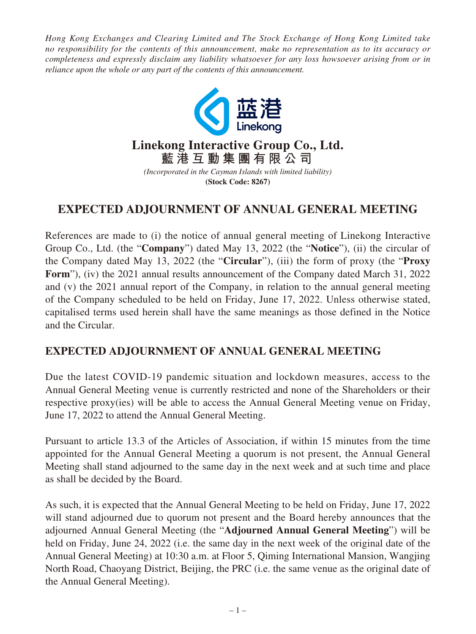*Hong Kong Exchanges and Clearing Limited and The Stock Exchange of Hong Kong Limited take no responsibility for the contents of this announcement, make no representation as to its accuracy or completeness and expressly disclaim any liability whatsoever for any loss howsoever arising from or in reliance upon the whole or any part of the contents of this announcement.*



## **Linekong Interactive Group Co., Ltd. 藍港互動集團有限公司**

*(Incorporated in the Cayman Islands with limited liability)* **(Stock Code: 8267)**

# **EXPECTED ADJOURNMENT OF ANNUAL GENERAL MEETING**

References are made to (i) the notice of annual general meeting of Linekong Interactive Group Co., Ltd. (the "**Company**") dated May 13, 2022 (the "**Notice**"), (ii) the circular of the Company dated May 13, 2022 (the "**Circular**"), (iii) the form of proxy (the "**Proxy Form**"), (iv) the 2021 annual results announcement of the Company dated March 31, 2022 and (v) the 2021 annual report of the Company, in relation to the annual general meeting of the Company scheduled to be held on Friday, June 17, 2022. Unless otherwise stated, capitalised terms used herein shall have the same meanings as those defined in the Notice and the Circular.

### **EXPECTED ADJOURNMENT OF ANNUAL GENERAL MEETING**

Due the latest COVID-19 pandemic situation and lockdown measures, access to the Annual General Meeting venue is currently restricted and none of the Shareholders or their respective proxy(ies) will be able to access the Annual General Meeting venue on Friday, June 17, 2022 to attend the Annual General Meeting.

Pursuant to article 13.3 of the Articles of Association, if within 15 minutes from the time appointed for the Annual General Meeting a quorum is not present, the Annual General Meeting shall stand adjourned to the same day in the next week and at such time and place as shall be decided by the Board.

As such, it is expected that the Annual General Meeting to be held on Friday, June 17, 2022 will stand adjourned due to quorum not present and the Board hereby announces that the adjourned Annual General Meeting (the "**Adjourned Annual General Meeting**") will be held on Friday, June 24, 2022 (i.e. the same day in the next week of the original date of the Annual General Meeting) at 10:30 a.m. at Floor 5, Qiming International Mansion, Wangjing North Road, Chaoyang District, Beijing, the PRC (i.e. the same venue as the original date of the Annual General Meeting).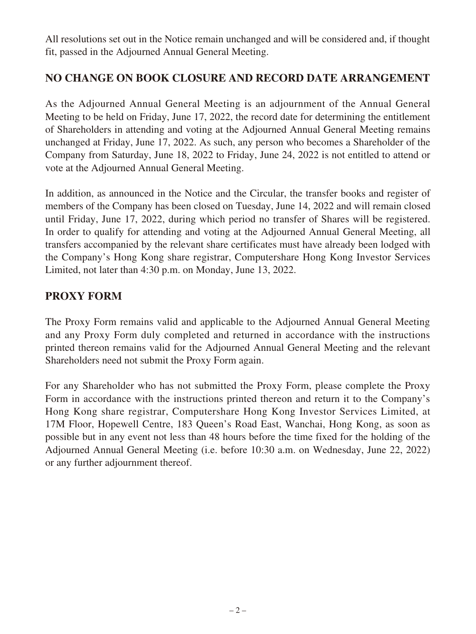All resolutions set out in the Notice remain unchanged and will be considered and, if thought fit, passed in the Adjourned Annual General Meeting.

### **NO CHANGE ON BOOK CLOSURE AND RECORD DATE ARRANGEMENT**

As the Adjourned Annual General Meeting is an adjournment of the Annual General Meeting to be held on Friday, June 17, 2022, the record date for determining the entitlement of Shareholders in attending and voting at the Adjourned Annual General Meeting remains unchanged at Friday, June 17, 2022. As such, any person who becomes a Shareholder of the Company from Saturday, June 18, 2022 to Friday, June 24, 2022 is not entitled to attend or vote at the Adjourned Annual General Meeting.

In addition, as announced in the Notice and the Circular, the transfer books and register of members of the Company has been closed on Tuesday, June 14, 2022 and will remain closed until Friday, June 17, 2022, during which period no transfer of Shares will be registered. In order to qualify for attending and voting at the Adjourned Annual General Meeting, all transfers accompanied by the relevant share certificates must have already been lodged with the Company's Hong Kong share registrar, Computershare Hong Kong Investor Services Limited, not later than 4:30 p.m. on Monday, June 13, 2022.

#### **PROXY FORM**

The Proxy Form remains valid and applicable to the Adjourned Annual General Meeting and any Proxy Form duly completed and returned in accordance with the instructions printed thereon remains valid for the Adjourned Annual General Meeting and the relevant Shareholders need not submit the Proxy Form again.

For any Shareholder who has not submitted the Proxy Form, please complete the Proxy Form in accordance with the instructions printed thereon and return it to the Company's Hong Kong share registrar, Computershare Hong Kong Investor Services Limited, at 17M Floor, Hopewell Centre, 183 Queen's Road East, Wanchai, Hong Kong, as soon as possible but in any event not less than 48 hours before the time fixed for the holding of the Adjourned Annual General Meeting (i.e. before 10:30 a.m. on Wednesday, June 22, 2022) or any further adjournment thereof.